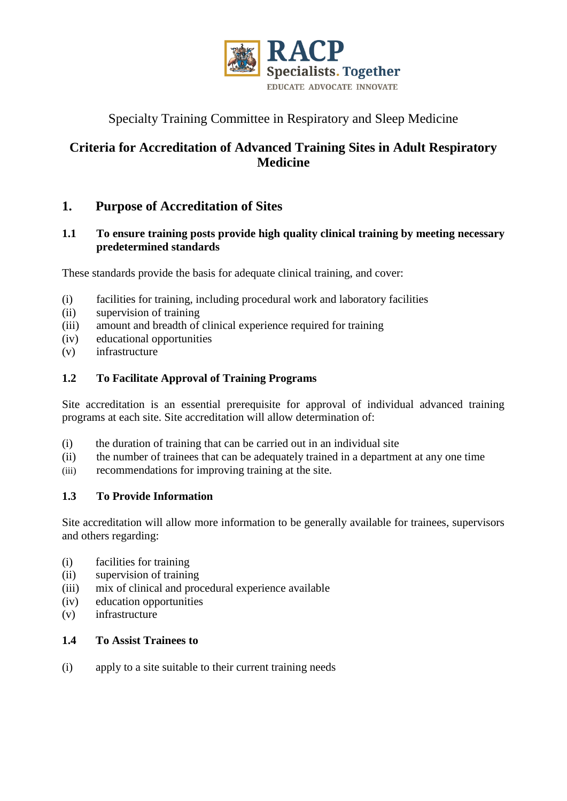

# Specialty Training Committee in Respiratory and Sleep Medicine

# **Criteria for Accreditation of Advanced Training Sites in Adult Respiratory Medicine**

# **1. Purpose of Accreditation of Sites**

### **1.1 To ensure training posts provide high quality clinical training by meeting necessary predetermined standards**

These standards provide the basis for adequate clinical training, and cover:

- (i) facilities for training, including procedural work and laboratory facilities
- (ii) supervision of training
- (iii) amount and breadth of clinical experience required for training
- (iv) educational opportunities
- (v) infrastructure

# **1.2 To Facilitate Approval of Training Programs**

Site accreditation is an essential prerequisite for approval of individual advanced training programs at each site. Site accreditation will allow determination of:

- (i) the duration of training that can be carried out in an individual site
- (ii) the number of trainees that can be adequately trained in a department at any one time
- (iii) recommendations for improving training at the site.

# **1.3 To Provide Information**

Site accreditation will allow more information to be generally available for trainees, supervisors and others regarding:

- (i) facilities for training
- (ii) supervision of training
- (iii) mix of clinical and procedural experience available
- (iv) education opportunities
- (v) infrastructure

### **1.4 To Assist Trainees to**

(i) apply to a site suitable to their current training needs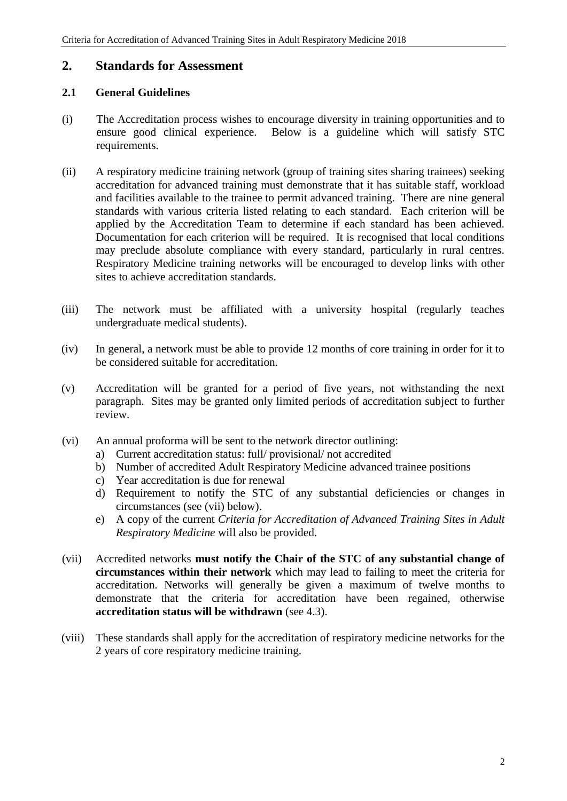## **2. Standards for Assessment**

#### **2.1 General Guidelines**

- (i) The Accreditation process wishes to encourage diversity in training opportunities and to ensure good clinical experience. Below is a guideline which will satisfy STC requirements.
- (ii) A respiratory medicine training network (group of training sites sharing trainees) seeking accreditation for advanced training must demonstrate that it has suitable staff, workload and facilities available to the trainee to permit advanced training. There are nine general standards with various criteria listed relating to each standard. Each criterion will be applied by the Accreditation Team to determine if each standard has been achieved. Documentation for each criterion will be required. It is recognised that local conditions may preclude absolute compliance with every standard, particularly in rural centres. Respiratory Medicine training networks will be encouraged to develop links with other sites to achieve accreditation standards.
- (iii) The network must be affiliated with a university hospital (regularly teaches undergraduate medical students).
- (iv) In general, a network must be able to provide 12 months of core training in order for it to be considered suitable for accreditation.
- (v) Accreditation will be granted for a period of five years, not withstanding the next paragraph. Sites may be granted only limited periods of accreditation subject to further review.
- (vi) An annual proforma will be sent to the network director outlining:
	- a) Current accreditation status: full/ provisional/ not accredited
	- b) Number of accredited Adult Respiratory Medicine advanced trainee positions
	- c) Year accreditation is due for renewal
	- d) Requirement to notify the STC of any substantial deficiencies or changes in circumstances (see (vii) below).
	- e) A copy of the current *Criteria for Accreditation of Advanced Training Sites in Adult Respiratory Medicine* will also be provided.
- (vii) Accredited networks **must notify the Chair of the STC of any substantial change of circumstances within their network** which may lead to failing to meet the criteria for accreditation. Networks will generally be given a maximum of twelve months to demonstrate that the criteria for accreditation have been regained, otherwise **accreditation status will be withdrawn** (see 4.3).
- (viii) These standards shall apply for the accreditation of respiratory medicine networks for the 2 years of core respiratory medicine training.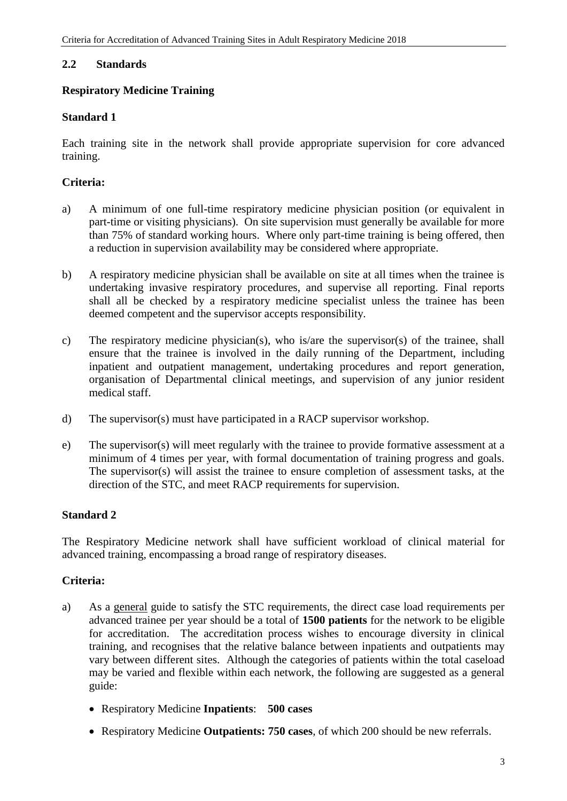## **2.2 Standards**

### **Respiratory Medicine Training**

#### **Standard 1**

Each training site in the network shall provide appropriate supervision for core advanced training.

## **Criteria:**

- a) A minimum of one full-time respiratory medicine physician position (or equivalent in part-time or visiting physicians). On site supervision must generally be available for more than 75% of standard working hours. Where only part-time training is being offered, then a reduction in supervision availability may be considered where appropriate.
- b) A respiratory medicine physician shall be available on site at all times when the trainee is undertaking invasive respiratory procedures, and supervise all reporting. Final reports shall all be checked by a respiratory medicine specialist unless the trainee has been deemed competent and the supervisor accepts responsibility.
- c) The respiratory medicine physician(s), who is/are the supervisor(s) of the trainee, shall ensure that the trainee is involved in the daily running of the Department, including inpatient and outpatient management, undertaking procedures and report generation, organisation of Departmental clinical meetings, and supervision of any junior resident medical staff.
- d) The supervisor(s) must have participated in a RACP supervisor workshop.
- e) The supervisor(s) will meet regularly with the trainee to provide formative assessment at a minimum of 4 times per year, with formal documentation of training progress and goals. The supervisor(s) will assist the trainee to ensure completion of assessment tasks, at the direction of the STC, and meet RACP requirements for supervision.

### **Standard 2**

The Respiratory Medicine network shall have sufficient workload of clinical material for advanced training, encompassing a broad range of respiratory diseases.

### **Criteria:**

- a) As a general guide to satisfy the STC requirements, the direct case load requirements per advanced trainee per year should be a total of **1500 patients** for the network to be eligible for accreditation. The accreditation process wishes to encourage diversity in clinical training, and recognises that the relative balance between inpatients and outpatients may vary between different sites. Although the categories of patients within the total caseload may be varied and flexible within each network, the following are suggested as a general guide:
	- Respiratory Medicine **Inpatients**: **500 cases**
	- Respiratory Medicine **Outpatients: 750 cases**, of which 200 should be new referrals.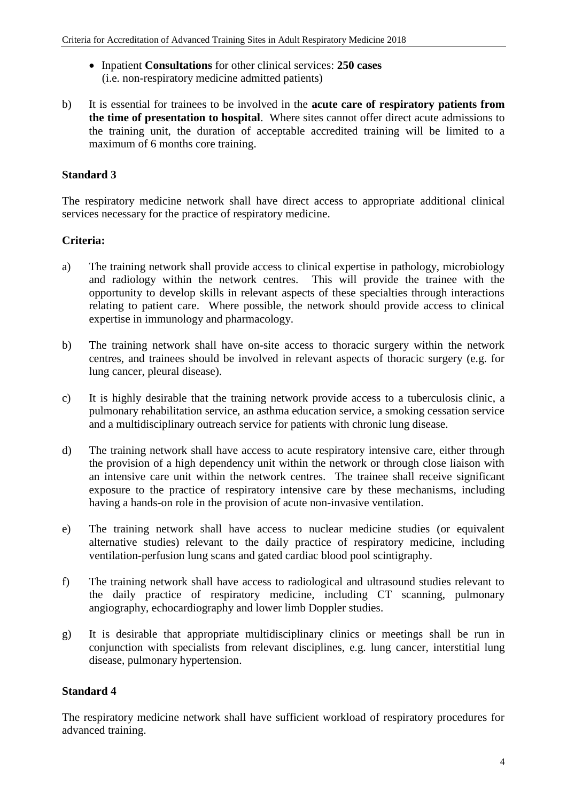- Inpatient **Consultations** for other clinical services: **250 cases** (i.e. non-respiratory medicine admitted patients)
- b) It is essential for trainees to be involved in the **acute care of respiratory patients from the time of presentation to hospital**. Where sites cannot offer direct acute admissions to the training unit, the duration of acceptable accredited training will be limited to a maximum of 6 months core training.

### **Standard 3**

The respiratory medicine network shall have direct access to appropriate additional clinical services necessary for the practice of respiratory medicine.

### **Criteria:**

- a) The training network shall provide access to clinical expertise in pathology, microbiology and radiology within the network centres. This will provide the trainee with the opportunity to develop skills in relevant aspects of these specialties through interactions relating to patient care. Where possible, the network should provide access to clinical expertise in immunology and pharmacology.
- b) The training network shall have on-site access to thoracic surgery within the network centres, and trainees should be involved in relevant aspects of thoracic surgery (e.g. for lung cancer, pleural disease).
- c) It is highly desirable that the training network provide access to a tuberculosis clinic, a pulmonary rehabilitation service, an asthma education service, a smoking cessation service and a multidisciplinary outreach service for patients with chronic lung disease.
- d) The training network shall have access to acute respiratory intensive care, either through the provision of a high dependency unit within the network or through close liaison with an intensive care unit within the network centres. The trainee shall receive significant exposure to the practice of respiratory intensive care by these mechanisms, including having a hands-on role in the provision of acute non-invasive ventilation.
- e) The training network shall have access to nuclear medicine studies (or equivalent alternative studies) relevant to the daily practice of respiratory medicine, including ventilation-perfusion lung scans and gated cardiac blood pool scintigraphy.
- f) The training network shall have access to radiological and ultrasound studies relevant to the daily practice of respiratory medicine, including CT scanning, pulmonary angiography, echocardiography and lower limb Doppler studies.
- g) It is desirable that appropriate multidisciplinary clinics or meetings shall be run in conjunction with specialists from relevant disciplines, e.g. lung cancer, interstitial lung disease, pulmonary hypertension.

### **Standard 4**

The respiratory medicine network shall have sufficient workload of respiratory procedures for advanced training.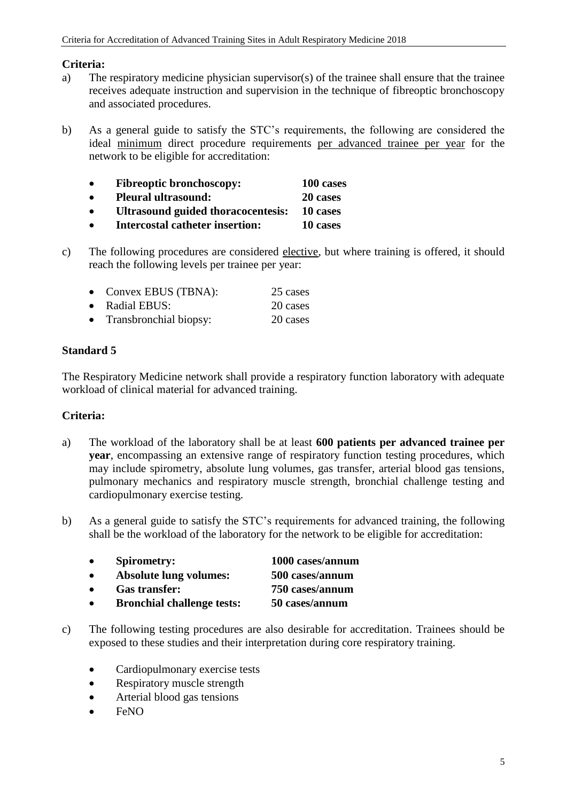#### **Criteria:**

- a) The respiratory medicine physician supervisor(s) of the trainee shall ensure that the trainee receives adequate instruction and supervision in the technique of fibreoptic bronchoscopy and associated procedures.
- b) As a general guide to satisfy the STC's requirements, the following are considered the ideal minimum direct procedure requirements per advanced trainee per year for the network to be eligible for accreditation:

| $\bullet$ | <b>Fibreoptic bronchoscopy:</b>             | 100 cases |
|-----------|---------------------------------------------|-----------|
| $\bullet$ | <b>Pleural ultrasound:</b>                  | 20 cases  |
| $\bullet$ | Ultrasound guided thoracocentesis: 10 cases |           |
|           |                                             |           |

- **Intercostal catheter insertion: 10 cases**
- c) The following procedures are considered elective, but where training is offered, it should reach the following levels per trainee per year:

| • Convex EBUS (TBNA):    | 25 cases |
|--------------------------|----------|
| • Radial EBUS:           | 20 cases |
| • Transbronchial biopsy: | 20 cases |

#### **Standard 5**

The Respiratory Medicine network shall provide a respiratory function laboratory with adequate workload of clinical material for advanced training.

### **Criteria:**

- a) The workload of the laboratory shall be at least **600 patients per advanced trainee per year**, encompassing an extensive range of respiratory function testing procedures, which may include spirometry, absolute lung volumes, gas transfer, arterial blood gas tensions, pulmonary mechanics and respiratory muscle strength, bronchial challenge testing and cardiopulmonary exercise testing.
- b) As a general guide to satisfy the STC's requirements for advanced training, the following shall be the workload of the laboratory for the network to be eligible for accreditation:

| $\bullet$ | <b>Spirometry:</b>                | 1000 cases/annum |
|-----------|-----------------------------------|------------------|
| $\bullet$ | <b>Absolute lung volumes:</b>     | 500 cases/annum  |
| $\bullet$ | <b>Gas transfer:</b>              | 750 cases/annum  |
| $\bullet$ | <b>Bronchial challenge tests:</b> | 50 cases/annum   |

- c) The following testing procedures are also desirable for accreditation. Trainees should be exposed to these studies and their interpretation during core respiratory training.
	- Cardiopulmonary exercise tests
	- Respiratory muscle strength
	- Arterial blood gas tensions
	- FeNO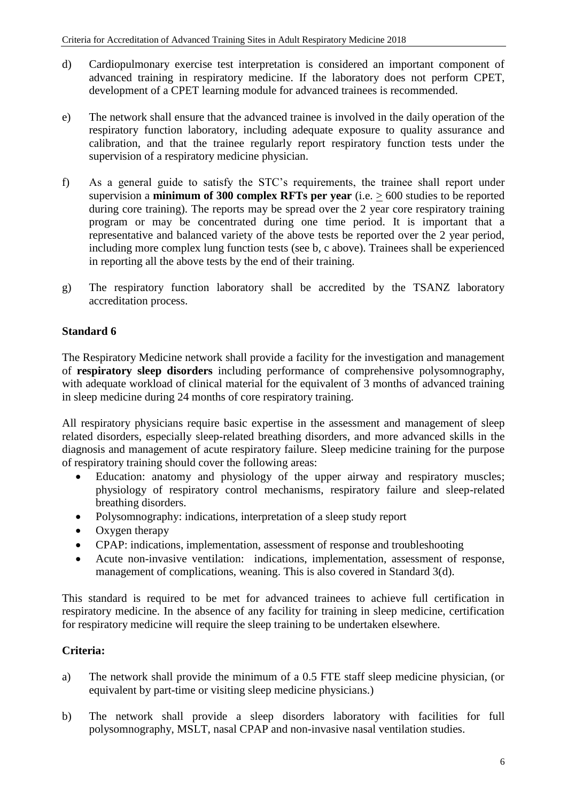- d) Cardiopulmonary exercise test interpretation is considered an important component of advanced training in respiratory medicine. If the laboratory does not perform CPET, development of a CPET learning module for advanced trainees is recommended.
- e) The network shall ensure that the advanced trainee is involved in the daily operation of the respiratory function laboratory, including adequate exposure to quality assurance and calibration, and that the trainee regularly report respiratory function tests under the supervision of a respiratory medicine physician.
- f) As a general guide to satisfy the STC's requirements, the trainee shall report under supervision a **minimum of 300 complex RFTs per year** (i.e. > 600 studies to be reported during core training). The reports may be spread over the 2 year core respiratory training program or may be concentrated during one time period. It is important that a representative and balanced variety of the above tests be reported over the 2 year period, including more complex lung function tests (see b, c above). Trainees shall be experienced in reporting all the above tests by the end of their training.
- g) The respiratory function laboratory shall be accredited by the TSANZ laboratory accreditation process.

## **Standard 6**

The Respiratory Medicine network shall provide a facility for the investigation and management of **respiratory sleep disorders** including performance of comprehensive polysomnography, with adequate workload of clinical material for the equivalent of 3 months of advanced training in sleep medicine during 24 months of core respiratory training.

All respiratory physicians require basic expertise in the assessment and management of sleep related disorders, especially sleep-related breathing disorders, and more advanced skills in the diagnosis and management of acute respiratory failure. Sleep medicine training for the purpose of respiratory training should cover the following areas:

- Education: anatomy and physiology of the upper airway and respiratory muscles; physiology of respiratory control mechanisms, respiratory failure and sleep-related breathing disorders.
- Polysomnography: indications, interpretation of a sleep study report
- Oxygen therapy
- CPAP: indications, implementation, assessment of response and troubleshooting
- Acute non-invasive ventilation: indications, implementation, assessment of response, management of complications, weaning. This is also covered in Standard 3(d).

This standard is required to be met for advanced trainees to achieve full certification in respiratory medicine. In the absence of any facility for training in sleep medicine, certification for respiratory medicine will require the sleep training to be undertaken elsewhere.

### **Criteria:**

- a) The network shall provide the minimum of a 0.5 FTE staff sleep medicine physician, (or equivalent by part-time or visiting sleep medicine physicians.)
- b) The network shall provide a sleep disorders laboratory with facilities for full polysomnography, MSLT, nasal CPAP and non-invasive nasal ventilation studies.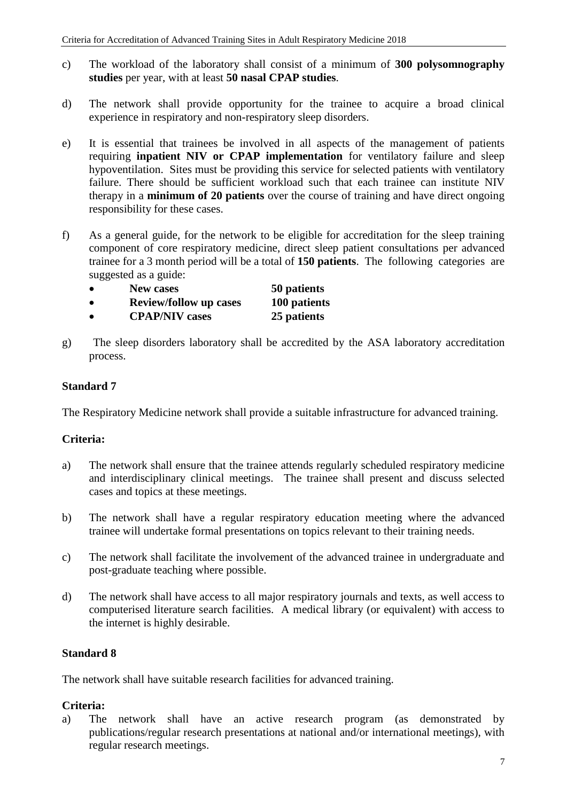- c) The workload of the laboratory shall consist of a minimum of **300 polysomnography studies** per year, with at least **50 nasal CPAP studies**.
- d) The network shall provide opportunity for the trainee to acquire a broad clinical experience in respiratory and non-respiratory sleep disorders.
- e) It is essential that trainees be involved in all aspects of the management of patients requiring **inpatient NIV or CPAP implementation** for ventilatory failure and sleep hypoventilation. Sites must be providing this service for selected patients with ventilatory failure. There should be sufficient workload such that each trainee can institute NIV therapy in a **minimum of 20 patients** over the course of training and have direct ongoing responsibility for these cases.
- f) As a general guide, for the network to be eligible for accreditation for the sleep training component of core respiratory medicine, direct sleep patient consultations per advanced trainee for a 3 month period will be a total of **150 patients**. The following categories are suggested as a guide:
	- **New cases 50 patients**
	- **Review/follow up cases 100 patients**
	- **CPAP/NIV cases 25 patients**
- g) The sleep disorders laboratory shall be accredited by the ASA laboratory accreditation process.

### **Standard 7**

The Respiratory Medicine network shall provide a suitable infrastructure for advanced training.

### **Criteria:**

- a) The network shall ensure that the trainee attends regularly scheduled respiratory medicine and interdisciplinary clinical meetings. The trainee shall present and discuss selected cases and topics at these meetings.
- b) The network shall have a regular respiratory education meeting where the advanced trainee will undertake formal presentations on topics relevant to their training needs.
- c) The network shall facilitate the involvement of the advanced trainee in undergraduate and post-graduate teaching where possible.
- d) The network shall have access to all major respiratory journals and texts, as well access to computerised literature search facilities. A medical library (or equivalent) with access to the internet is highly desirable.

### **Standard 8**

The network shall have suitable research facilities for advanced training.

#### **Criteria:**

a) The network shall have an active research program (as demonstrated by publications/regular research presentations at national and/or international meetings), with regular research meetings.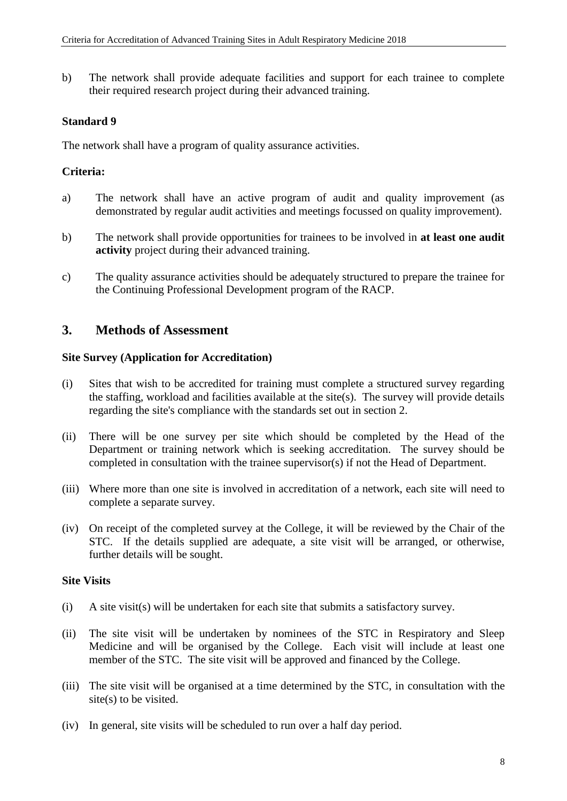b) The network shall provide adequate facilities and support for each trainee to complete their required research project during their advanced training.

#### **Standard 9**

The network shall have a program of quality assurance activities.

#### **Criteria:**

- a) The network shall have an active program of audit and quality improvement (as demonstrated by regular audit activities and meetings focussed on quality improvement).
- b) The network shall provide opportunities for trainees to be involved in **at least one audit activity** project during their advanced training.
- c) The quality assurance activities should be adequately structured to prepare the trainee for the Continuing Professional Development program of the RACP.

# **3. Methods of Assessment**

#### **Site Survey (Application for Accreditation)**

- (i) Sites that wish to be accredited for training must complete a structured survey regarding the staffing, workload and facilities available at the site(s). The survey will provide details regarding the site's compliance with the standards set out in section 2.
- (ii) There will be one survey per site which should be completed by the Head of the Department or training network which is seeking accreditation. The survey should be completed in consultation with the trainee supervisor(s) if not the Head of Department.
- (iii) Where more than one site is involved in accreditation of a network, each site will need to complete a separate survey.
- (iv) On receipt of the completed survey at the College, it will be reviewed by the Chair of the STC. If the details supplied are adequate, a site visit will be arranged, or otherwise, further details will be sought.

#### **Site Visits**

- (i) A site visit(s) will be undertaken for each site that submits a satisfactory survey.
- (ii) The site visit will be undertaken by nominees of the STC in Respiratory and Sleep Medicine and will be organised by the College. Each visit will include at least one member of the STC. The site visit will be approved and financed by the College.
- (iii) The site visit will be organised at a time determined by the STC, in consultation with the site(s) to be visited.
- (iv) In general, site visits will be scheduled to run over a half day period.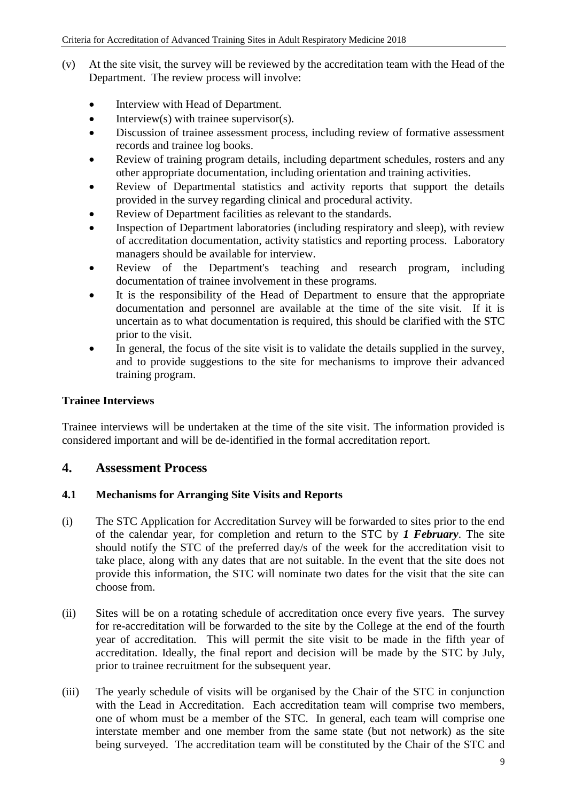- (v) At the site visit, the survey will be reviewed by the accreditation team with the Head of the Department. The review process will involve:
	- Interview with Head of Department.
	- Interview(s) with trainee supervisor(s).
	- Discussion of trainee assessment process, including review of formative assessment records and trainee log books.
	- Review of training program details, including department schedules, rosters and any other appropriate documentation, including orientation and training activities.
	- Review of Departmental statistics and activity reports that support the details provided in the survey regarding clinical and procedural activity.
	- Review of Department facilities as relevant to the standards.
	- Inspection of Department laboratories (including respiratory and sleep), with review of accreditation documentation, activity statistics and reporting process. Laboratory managers should be available for interview.
	- Review of the Department's teaching and research program, including documentation of trainee involvement in these programs.
	- It is the responsibility of the Head of Department to ensure that the appropriate documentation and personnel are available at the time of the site visit. If it is uncertain as to what documentation is required, this should be clarified with the STC prior to the visit.
	- In general, the focus of the site visit is to validate the details supplied in the survey, and to provide suggestions to the site for mechanisms to improve their advanced training program.

#### **Trainee Interviews**

Trainee interviews will be undertaken at the time of the site visit. The information provided is considered important and will be de-identified in the formal accreditation report.

### **4. Assessment Process**

#### **4.1 Mechanisms for Arranging Site Visits and Reports**

- (i) The STC Application for Accreditation Survey will be forwarded to sites prior to the end of the calendar year, for completion and return to the STC by *1 February*. The site should notify the STC of the preferred day/s of the week for the accreditation visit to take place, along with any dates that are not suitable. In the event that the site does not provide this information, the STC will nominate two dates for the visit that the site can choose from.
- (ii) Sites will be on a rotating schedule of accreditation once every five years. The survey for re-accreditation will be forwarded to the site by the College at the end of the fourth year of accreditation. This will permit the site visit to be made in the fifth year of accreditation. Ideally, the final report and decision will be made by the STC by July, prior to trainee recruitment for the subsequent year.
- (iii) The yearly schedule of visits will be organised by the Chair of the STC in conjunction with the Lead in Accreditation. Each accreditation team will comprise two members, one of whom must be a member of the STC. In general, each team will comprise one interstate member and one member from the same state (but not network) as the site being surveyed. The accreditation team will be constituted by the Chair of the STC and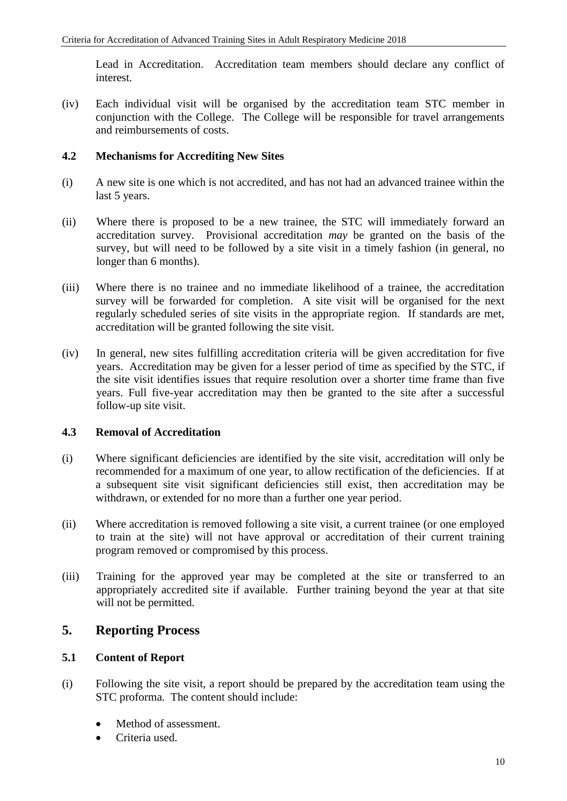Lead in Accreditation. Accreditation team members should declare any conflict of interest.

(iv) Each individual visit will be organised by the accreditation team STC member in conjunction with the College. The College will be responsible for travel arrangements and reimbursements of costs.

#### **4.2 Mechanisms for Accrediting New Sites**

- (i) A new site is one which is not accredited, and has not had an advanced trainee within the last 5 years.
- (ii) Where there is proposed to be a new trainee, the STC will immediately forward an accreditation survey. Provisional accreditation *may* be granted on the basis of the survey, but will need to be followed by a site visit in a timely fashion (in general, no longer than 6 months).
- (iii) Where there is no trainee and no immediate likelihood of a trainee, the accreditation survey will be forwarded for completion. A site visit will be organised for the next regularly scheduled series of site visits in the appropriate region. If standards are met, accreditation will be granted following the site visit.
- (iv) In general, new sites fulfilling accreditation criteria will be given accreditation for five years. Accreditation may be given for a lesser period of time as specified by the STC, if the site visit identifies issues that require resolution over a shorter time frame than five years. Full five-year accreditation may then be granted to the site after a successful follow-up site visit.

#### **4.3 Removal of Accreditation**

- (i) Where significant deficiencies are identified by the site visit, accreditation will only be recommended for a maximum of one year, to allow rectification of the deficiencies. If at a subsequent site visit significant deficiencies still exist, then accreditation may be withdrawn, or extended for no more than a further one year period.
- (ii) Where accreditation is removed following a site visit, a current trainee (or one employed to train at the site) will not have approval or accreditation of their current training program removed or compromised by this process.
- (iii) Training for the approved year may be completed at the site or transferred to an appropriately accredited site if available. Further training beyond the year at that site will not be permitted.

# **5. Reporting Process**

### **5.1 Content of Report**

- (i) Following the site visit, a report should be prepared by the accreditation team using the STC proforma. The content should include:
	- Method of assessment.
	- Criteria used.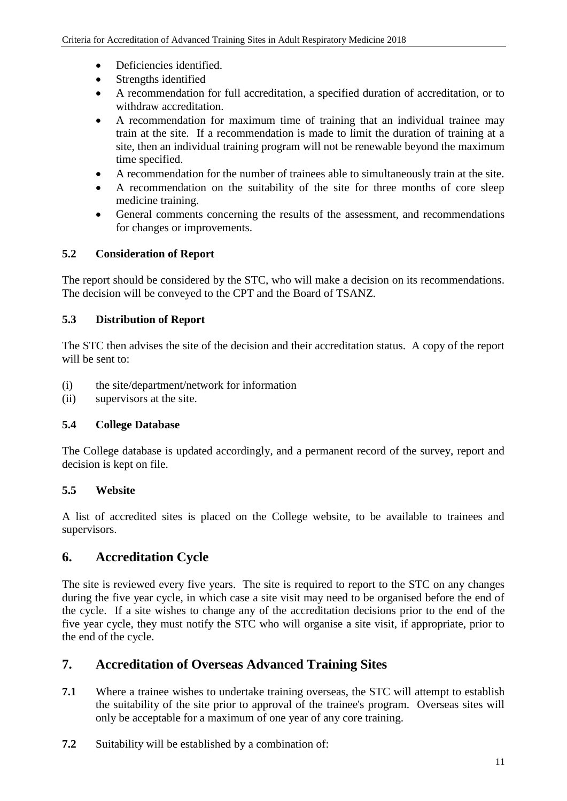- Deficiencies identified.
- Strengths identified
- A recommendation for full accreditation, a specified duration of accreditation, or to withdraw accreditation.
- A recommendation for maximum time of training that an individual trainee may train at the site. If a recommendation is made to limit the duration of training at a site, then an individual training program will not be renewable beyond the maximum time specified.
- A recommendation for the number of trainees able to simultaneously train at the site.
- A recommendation on the suitability of the site for three months of core sleep medicine training.
- General comments concerning the results of the assessment, and recommendations for changes or improvements.

# **5.2 Consideration of Report**

The report should be considered by the STC, who will make a decision on its recommendations. The decision will be conveyed to the CPT and the Board of TSANZ.

## **5.3 Distribution of Report**

The STC then advises the site of the decision and their accreditation status. A copy of the report will be sent to:

- (i) the site/department/network for information
- (ii) supervisors at the site.

# **5.4 College Database**

The College database is updated accordingly, and a permanent record of the survey, report and decision is kept on file.

### **5.5 Website**

A list of accredited sites is placed on the College website, to be available to trainees and supervisors.

# **6. Accreditation Cycle**

The site is reviewed every five years. The site is required to report to the STC on any changes during the five year cycle, in which case a site visit may need to be organised before the end of the cycle. If a site wishes to change any of the accreditation decisions prior to the end of the five year cycle, they must notify the STC who will organise a site visit, if appropriate, prior to the end of the cycle.

# **7. Accreditation of Overseas Advanced Training Sites**

- **7.1** Where a trainee wishes to undertake training overseas, the STC will attempt to establish the suitability of the site prior to approval of the trainee's program. Overseas sites will only be acceptable for a maximum of one year of any core training.
- **7.2** Suitability will be established by a combination of: